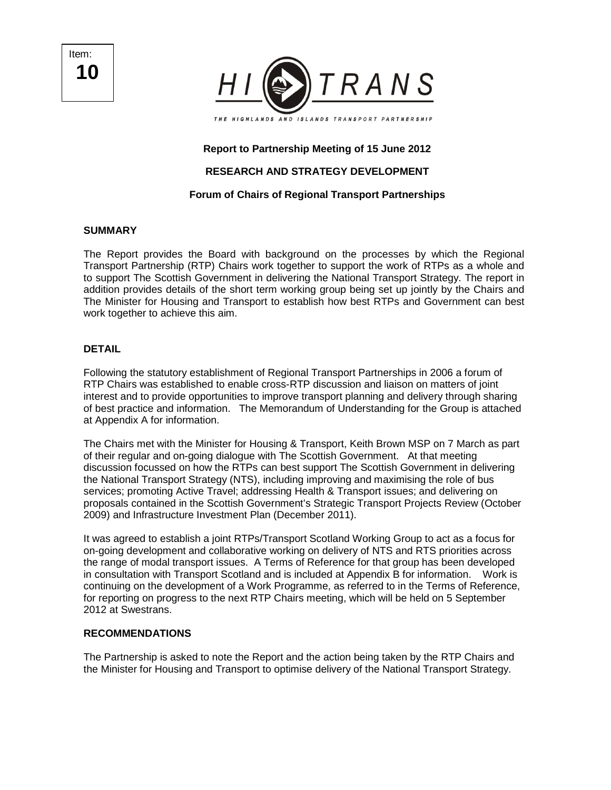Item: **10** 



#### **Report to Partnership Meeting of 15 June 2012**

# **RESEARCH AND STRATEGY DEVELOPMENT**

# **Forum of Chairs of Regional Transport Partnerships**

#### **SUMMARY**

The Report provides the Board with background on the processes by which the Regional Transport Partnership (RTP) Chairs work together to support the work of RTPs as a whole and to support The Scottish Government in delivering the National Transport Strategy. The report in addition provides details of the short term working group being set up jointly by the Chairs and The Minister for Housing and Transport to establish how best RTPs and Government can best work together to achieve this aim.

#### **DETAIL**

Following the statutory establishment of Regional Transport Partnerships in 2006 a forum of RTP Chairs was established to enable cross-RTP discussion and liaison on matters of joint interest and to provide opportunities to improve transport planning and delivery through sharing of best practice and information. The Memorandum of Understanding for the Group is attached at Appendix A for information.

The Chairs met with the Minister for Housing & Transport, Keith Brown MSP on 7 March as part of their regular and on-going dialogue with The Scottish Government. At that meeting discussion focussed on how the RTPs can best support The Scottish Government in delivering the National Transport Strategy (NTS), including improving and maximising the role of bus services; promoting Active Travel; addressing Health & Transport issues; and delivering on proposals contained in the Scottish Government's Strategic Transport Projects Review (October 2009) and Infrastructure Investment Plan (December 2011).

It was agreed to establish a joint RTPs/Transport Scotland Working Group to act as a focus for on-going development and collaborative working on delivery of NTS and RTS priorities across the range of modal transport issues. A Terms of Reference for that group has been developed in consultation with Transport Scotland and is included at Appendix B for information. Work is continuing on the development of a Work Programme, as referred to in the Terms of Reference, for reporting on progress to the next RTP Chairs meeting, which will be held on 5 September 2012 at Swestrans.

#### **RECOMMENDATIONS**

The Partnership is asked to note the Report and the action being taken by the RTP Chairs and the Minister for Housing and Transport to optimise delivery of the National Transport Strategy.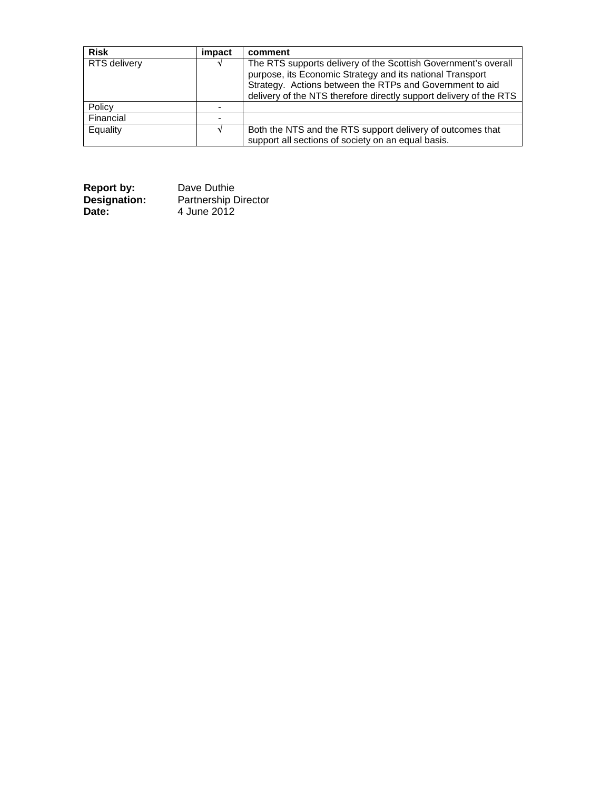| <b>Risk</b>         | impact | comment                                                                                                                                                                                                                                                       |
|---------------------|--------|---------------------------------------------------------------------------------------------------------------------------------------------------------------------------------------------------------------------------------------------------------------|
| <b>RTS</b> delivery |        | The RTS supports delivery of the Scottish Government's overall<br>purpose, its Economic Strategy and its national Transport<br>Strategy. Actions between the RTPs and Government to aid<br>delivery of the NTS therefore directly support delivery of the RTS |
| Policy              |        |                                                                                                                                                                                                                                                               |
| Financial           |        |                                                                                                                                                                                                                                                               |
| Equality            |        | Both the NTS and the RTS support delivery of outcomes that<br>support all sections of society on an equal basis.                                                                                                                                              |

| <b>Report by:</b> | Dave Duthie                 |
|-------------------|-----------------------------|
| Designation:      | <b>Partnership Director</b> |
| Date:             | 4 June 2012                 |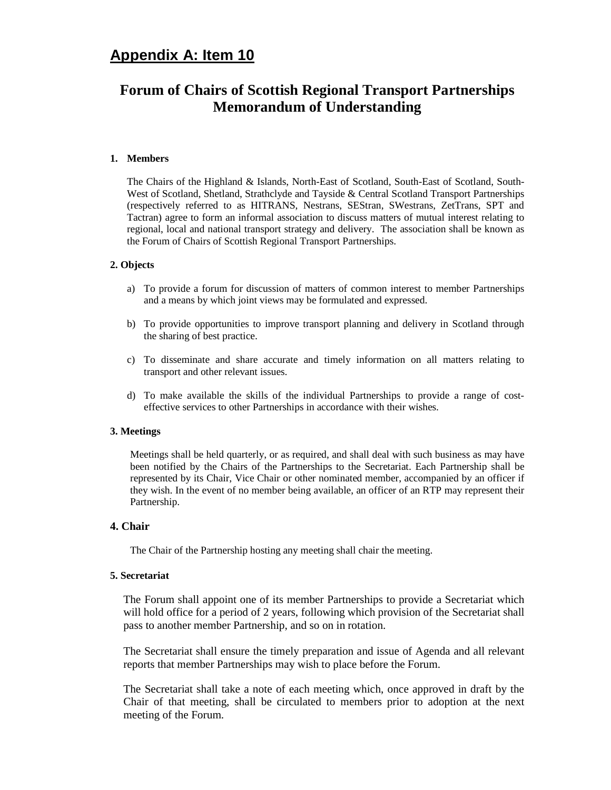# **Appendix A: Item 10**

# **Forum of Chairs of Scottish Regional Transport Partnerships Memorandum of Understanding**

#### **1. Members**

The Chairs of the Highland & Islands, North-East of Scotland, South-East of Scotland, South-West of Scotland, Shetland, Strathclyde and Tayside & Central Scotland Transport Partnerships (respectively referred to as HITRANS, Nestrans, SEStran, SWestrans, ZetTrans, SPT and Tactran) agree to form an informal association to discuss matters of mutual interest relating to regional, local and national transport strategy and delivery. The association shall be known as the Forum of Chairs of Scottish Regional Transport Partnerships.

#### **2. Objects**

- a) To provide a forum for discussion of matters of common interest to member Partnerships and a means by which joint views may be formulated and expressed.
- b) To provide opportunities to improve transport planning and delivery in Scotland through the sharing of best practice.
- c) To disseminate and share accurate and timely information on all matters relating to transport and other relevant issues.
- d) To make available the skills of the individual Partnerships to provide a range of costeffective services to other Partnerships in accordance with their wishes.

#### **3. Meetings**

Meetings shall be held quarterly, or as required, and shall deal with such business as may have been notified by the Chairs of the Partnerships to the Secretariat. Each Partnership shall be represented by its Chair, Vice Chair or other nominated member, accompanied by an officer if they wish. In the event of no member being available, an officer of an RTP may represent their Partnership.

#### **4. Chair**

The Chair of the Partnership hosting any meeting shall chair the meeting.

#### **5. Secretariat**

The Forum shall appoint one of its member Partnerships to provide a Secretariat which will hold office for a period of 2 years, following which provision of the Secretariat shall pass to another member Partnership, and so on in rotation.

The Secretariat shall ensure the timely preparation and issue of Agenda and all relevant reports that member Partnerships may wish to place before the Forum.

The Secretariat shall take a note of each meeting which, once approved in draft by the Chair of that meeting, shall be circulated to members prior to adoption at the next meeting of the Forum.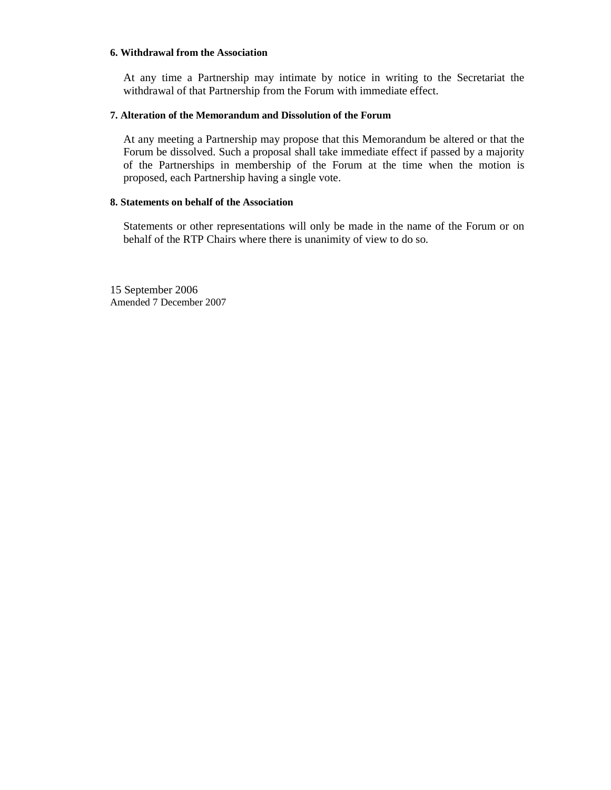#### **6. Withdrawal from the Association**

At any time a Partnership may intimate by notice in writing to the Secretariat the withdrawal of that Partnership from the Forum with immediate effect.

#### **7. Alteration of the Memorandum and Dissolution of the Forum**

At any meeting a Partnership may propose that this Memorandum be altered or that the Forum be dissolved. Such a proposal shall take immediate effect if passed by a majority of the Partnerships in membership of the Forum at the time when the motion is proposed, each Partnership having a single vote.

#### **8. Statements on behalf of the Association**

Statements or other representations will only be made in the name of the Forum or on behalf of the RTP Chairs where there is unanimity of view to do so.

15 September 2006 Amended 7 December 2007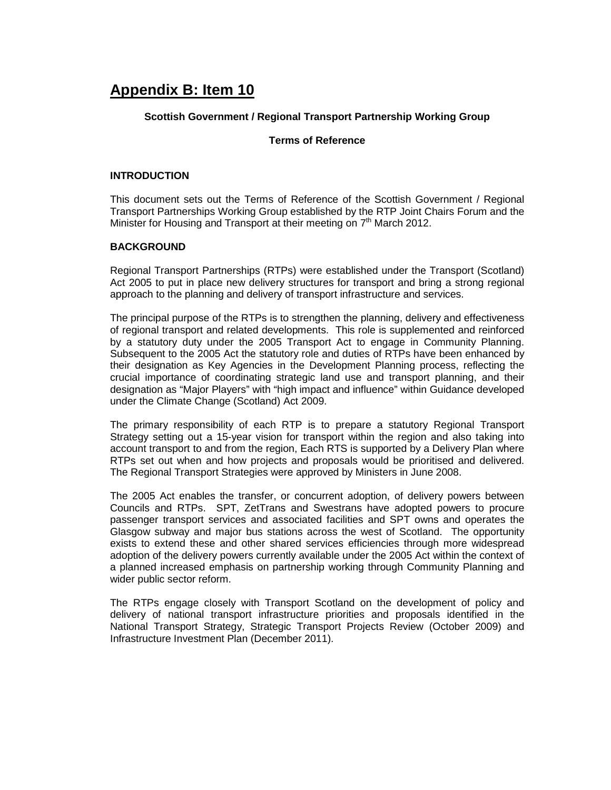# **Appendix B: Item 10**

# **Scottish Government / Regional Transport Partnership Working Group**

# **Terms of Reference**

# **INTRODUCTION**

This document sets out the Terms of Reference of the Scottish Government / Regional Transport Partnerships Working Group established by the RTP Joint Chairs Forum and the Minister for Housing and Transport at their meeting on 7<sup>th</sup> March 2012.

# **BACKGROUND**

Regional Transport Partnerships (RTPs) were established under the Transport (Scotland) Act 2005 to put in place new delivery structures for transport and bring a strong regional approach to the planning and delivery of transport infrastructure and services.

The principal purpose of the RTPs is to strengthen the planning, delivery and effectiveness of regional transport and related developments. This role is supplemented and reinforced by a statutory duty under the 2005 Transport Act to engage in Community Planning. Subsequent to the 2005 Act the statutory role and duties of RTPs have been enhanced by their designation as Key Agencies in the Development Planning process, reflecting the crucial importance of coordinating strategic land use and transport planning, and their designation as "Major Players" with "high impact and influence" within Guidance developed under the Climate Change (Scotland) Act 2009.

The primary responsibility of each RTP is to prepare a statutory Regional Transport Strategy setting out a 15-year vision for transport within the region and also taking into account transport to and from the region, Each RTS is supported by a Delivery Plan where RTPs set out when and how projects and proposals would be prioritised and delivered. The Regional Transport Strategies were approved by Ministers in June 2008.

The 2005 Act enables the transfer, or concurrent adoption, of delivery powers between Councils and RTPs. SPT, ZetTrans and Swestrans have adopted powers to procure passenger transport services and associated facilities and SPT owns and operates the Glasgow subway and major bus stations across the west of Scotland. The opportunity exists to extend these and other shared services efficiencies through more widespread adoption of the delivery powers currently available under the 2005 Act within the context of a planned increased emphasis on partnership working through Community Planning and wider public sector reform.

The RTPs engage closely with Transport Scotland on the development of policy and delivery of national transport infrastructure priorities and proposals identified in the National Transport Strategy, Strategic Transport Projects Review (October 2009) and Infrastructure Investment Plan (December 2011).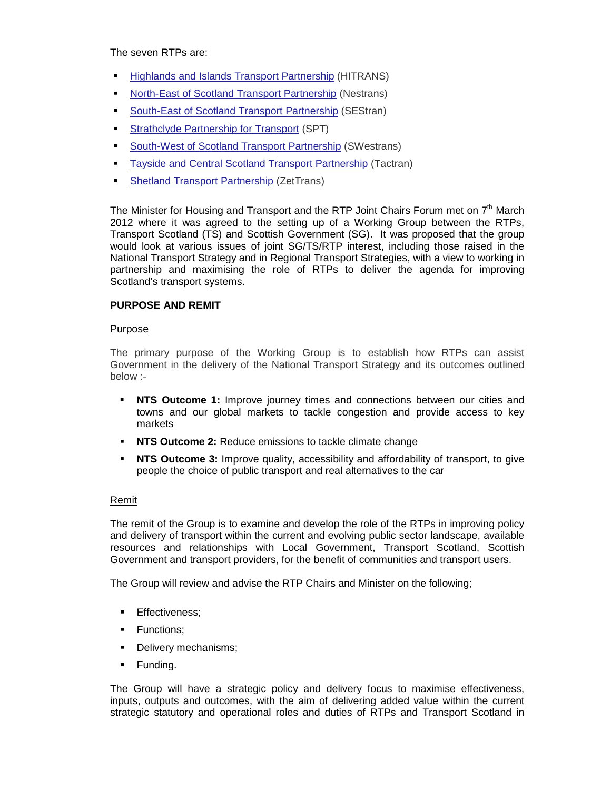The seven RTPs are:

- Highlands and Islands Transport Partnership (HITRANS)
- **North-East of Scotland Transport Partnership (Nestrans)**
- South-East of Scotland Transport Partnership (SEStran)
- Strathclyde Partnership for Transport (SPT)
- South-West of Scotland Transport Partnership (SWestrans)
- **Tayside and Central Scotland Transport Partnership (Tactran)**
- Shetland Transport Partnership (ZetTrans)

The Minister for Housing and Transport and the RTP Joint Chairs Forum met on  $7<sup>th</sup>$  March 2012 where it was agreed to the setting up of a Working Group between the RTPs, Transport Scotland (TS) and Scottish Government (SG). It was proposed that the group would look at various issues of joint SG/TS/RTP interest, including those raised in the National Transport Strategy and in Regional Transport Strategies, with a view to working in partnership and maximising the role of RTPs to deliver the agenda for improving Scotland's transport systems.

# **PURPOSE AND REMIT**

# Purpose

The primary purpose of the Working Group is to establish how RTPs can assist Government in the delivery of the National Transport Strategy and its outcomes outlined below :-

- **NTS Outcome 1:** Improve journey times and connections between our cities and towns and our global markets to tackle congestion and provide access to key markets
- **NTS Outcome 2:** Reduce emissions to tackle climate change
- **NTS Outcome 3:** Improve quality, accessibility and affordability of transport, to give people the choice of public transport and real alternatives to the car

# Remit

The remit of the Group is to examine and develop the role of the RTPs in improving policy and delivery of transport within the current and evolving public sector landscape, available resources and relationships with Local Government, Transport Scotland, Scottish Government and transport providers, for the benefit of communities and transport users.

The Group will review and advise the RTP Chairs and Minister on the following;

- **Effectiveness;**
- **Functions:**
- Delivery mechanisms;
- **Funding.**

The Group will have a strategic policy and delivery focus to maximise effectiveness, inputs, outputs and outcomes, with the aim of delivering added value within the current strategic statutory and operational roles and duties of RTPs and Transport Scotland in